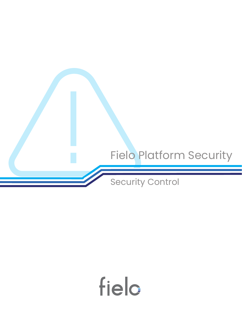

# field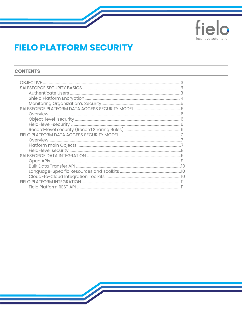

# **FIELO PLATFORM SECURITY**

#### **CONTENTS**

| OR. IFC.TIVE |  |
|--------------|--|
|              |  |
|              |  |
|              |  |
|              |  |
|              |  |
|              |  |
|              |  |
|              |  |
|              |  |
|              |  |
|              |  |
|              |  |
|              |  |
|              |  |
|              |  |
|              |  |
|              |  |
|              |  |
|              |  |
|              |  |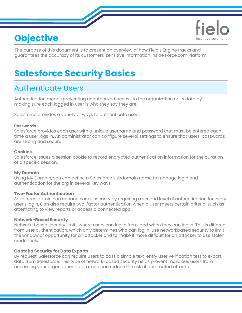# **Objective**



The purpose of this document is to present an overview of how Fielo's Engine tracks and guarantees the accuracy of its customers' sensitive information inside Force.com Platform.

# **Salesforce Security Basics**

# Authenticate Users

Authentication means preventing unauthorized access to the organization or its data by making sure each logged in user is who they say they are.

Salesforce provides a variety of ways to authenticate users.

#### **Passwords**

Salesforce provides each user with a unique username and password that must be entered each time a user logs in. An administrator can configure several settings to ensure that users' passwords are strong and secure.

#### **Cookies**

Salesforce issues a session cookie to record encrypted authentication information for the duration of a specific session.

#### **My Domain**

Using My Domain, you can define a Salesforce subdomain name to manage login and authentication for the org in several key ways.

#### **Two-Factor Authentication**

Salesforce admin can enhance org's security by requiring a second level of authentication for every user's login. Can also require two-factor authentication when a user meets certain criteria, such as attempting to view reports or access a connected app.

#### **Network-Based Security**

Network-based security limits where users can log in from, and when they can log in. This is different from user authentication, which only determines who can log in. Use networkbased security to limit the window of opportunity for an attacker and to make it more difficult for an attacker to use stolen credentials.

#### **Captcha Security for Data Exports**

By request, Salesforce can require users to pass a simple text-entry user verification test to export data from Salesforce. This type of network-based security helps prevent malicious users from accessing your organization's data, and can reduce the risk of automated attacks.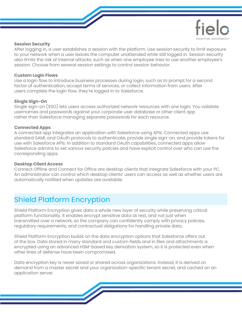

#### **Session Security**

After logging in, a user establishes a session with the platform. Use session security to limit exposure to your network when a user leaves the computer unattended while still logged in. Session security also limits the risk of internal attacks, such as when one employee tries to use another employee's session. Choose from several session settings to control session behavior.

#### **Custom Login Flows**

Use a login flow to introduce business processes during login, such as to prompt for a second factor of authentication, accept terms of services, or collect information from users. After users complete the login flow, they're logged in to Salesforce.

#### **Single Sign-On**

Single sign-on (SSO) lets users access authorized network resources with one login. You validate usernames and passwords against your corporate user database or other client app rather than Salesforce managing separate passwords for each resource.

#### **Connected Apps**

A connected app integrates an application with Salesforce using APIs. Connected apps use standard SAML and OAuth protocols to authenticate, provide single sign-on, and provide tokens for use with Salesforce APIs. In addition to standard OAuth capabilities, connected apps allow Salesforce admins to set various security policies and have explicit control over who can use the corresponding apps.

#### **Desktop Client Access**

Connect Offline and Connect for Office are desktop clients that integrate Salesforce with your PC. An administrator can control which desktop clients' users can access as well as whether users are automatically notified when updates are available.

# Shield Platform Encryption

Shield Platform Encryption gives data a whole new layer of security while preserving critical platform functionality. It enables encrypt sensitive data at rest, and not just when transmitted over a network, so the company can confidently comply with privacy policies, regulatory requirements, and contractual obligations for handling private data.

Shield Platform Encryption builds on the data encryption options that Salesforce offers out of the box. Data stored in many standard and custom fields and in files and attachments is encrypted using an advanced HSM-based key derivation system, so it is protected even when other lines of defense have been compromised.

Data encryption key is never saved or shared across organizations. Instead, it is derived on demand from a master secret and your organization-specific tenant secret, and cached on an application server.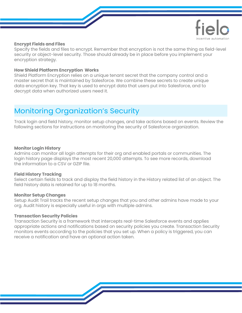

#### **Encrypt Fields and Files**

Specify the fields and files to encrypt. Remember that encryption is not the same thing as field-level security or object-level security. Those should already be in place before you implement your encryption strategy.

#### **How Shield Platform Encryption Works**

Shield Platform Encryption relies on a unique tenant secret that the company control and a master secret that is maintained by Salesforce. We combine these secrets to create unique data encryption key. That key is used to encrypt data that users put into Salesforce, and to decrypt data when authorized users need it.

# Monitoring Organization's Security

Track login and field history, monitor setup changes, and take actions based on events. Review the following sections for instructions on monitoring the security of Salesforce organization.

#### **Monitor Login History**

Admins can monitor all login attempts for their org and enabled portals or communities. The login history page displays the most recent 20,000 attempts. To see more records, download the information to a CSV or GZIP file.

#### **Field History Tracking**

Select certain fields to track and display the field history in the History related list of an object. The field history data is retained for up to 18 months.

#### **Monitor Setup Changes**

Setup Audit Trail tracks the recent setup changes that you and other admins have made to your org. Audit history is especially useful in orgs with multiple admins.

#### **Transaction Security Policies**

Transaction Security is a framework that intercepts real-time Salesforce events and applies appropriate actions and notifications based on security policies you create. Transaction Security monitors events according to the policies that you set up. When a policy is triggered, you can receive a notification and have an optional action taken.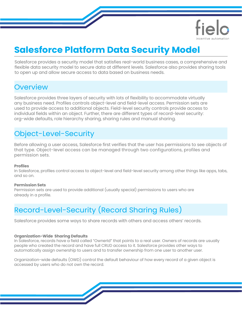

# **Salesforce Platform Data Security Model**

Salesforce provides a security model that satisfies real-world business cases, a comprehensive and flexible data security model to secure data at different levels. Salesforce also provides sharing tools to open up and allow secure access to data based on business needs.

### **Overview**

Salesforce provides three layers of security with lots of flexibility to accommodate virtually any business need. Profiles controls object-level and field-level access. Permission sets are used to provide access to additional objects. Field-level security controls provide access to individual fields within an object. Further, there are different types of record-level security: org-wide defaults, role hierarchy sharing, sharing rules and manual sharing.

### Object-Level-Security

Before allowing a user access, Salesforce first verifies that the user has permissions to see objects of that type. Object-level access can be managed through two configurations, profiles and permission sets.

#### **Profiles**

In Salesforce, profiles control access to object-level and field-level security among other things like apps, tabs, and so on.

#### **Permission Sets**

Permission sets are used to provide additional (usually special) permissions to users who are already in a profile.

# Record-Level-Security (Record Sharing Rules)

Salesforce provides some ways to share records with others and access others' records.

#### **Organization-Wide Sharing Defaults**

In Salesforce, records have a field called "OwnerId" that points to a real user. Owners of records are usually people who created the record and have full CRUD access to it. Salesforce provides other ways to automatically assign ownership to users and to transfer ownership from one user to another user.

Organization-wide defaults (OWD) control the default behaviour of how every record of a given object is accessed by users who do not own the record.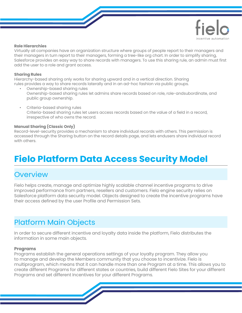

#### **Role Hierarchies**

Virtually all companies have an organization structure where groups of people report to their managers and their managers in turn report to their managers, forming a tree-like org chart. In order to simplify sharing, Salesforce provides an easy way to share records with managers. To use this sharing rule, an admin must first add the user to a role and grant access.

#### **Sharing Rules**

Hierarchy-based sharing only works for sharing upward and in a vertical direction. Sharing rules provides a way to share records laterally and in an ad-hoc fashion via public groups.

- Ownership-based sharing rules Ownership-based sharing rules let admins share records based on role, role-andsubordinate, and public group ownership.
- Criteria-based sharing rules Criteria-based sharing rules let users access records based on the value of a field in a record, irrespective of who owns the record.

#### **Manual Sharing (Classic Only)**

Record-level-security provides a mechanism to share individual records with others. This permission is accessed through the Sharing button on the record details page, and lets endusers share individual record with others.

# **Fielo Platform Data Access Security Model**

### **Overview**

Fielo helps create, manage and optimize highly scalable channel incentive programs to drive improved performance from partners, resellers and customers. Fielo engine security relies on Salesforce platform data security model. Objects designed to create the incentive programs have their access defined by the user Profile and Permission Sets.

### Platform Main Objects

In order to secure different incentive and loyalty data inside the platform, Fielo distributes the information in some main objects.

#### **Programs**

Programs establish the general operations settings of your loyalty program. They allow you to manage and develop the Members community that you choose to incentivize. Fielo is multiprogram, which means that it can handle more than one Program at a time. This allows you to create different Programs for different states or countries, build different Fielo Sites for your different Programs and set different Incentives for your different Programs.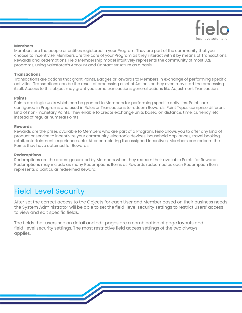

#### **Members**

Members are the people or entities registered in your Program. They are part of the community that you choose to incentivize. Members are the core of your Program as they interact with it by means of Transactions, Rewards and Redemptions. Fielo Membership model intuitively represents the community of most B2B programs, using Salesforce's Account and Contact structure as a basis.

#### **Transactions**

Transactions are actions that grant Points, Badges or Rewards to Members in exchange of performing specific activities. Transactions can be the result of processing a set of Actions or they even may start the processing itself. Access to this object may grant you some transactions general actions like Adjustment Transaction.

#### **Points**

Points are single units which can be granted to Members for performing specific activities. Points are configured in Programs and used in Rules or Transactions to redeem Rewards. Point Types comprise different kind of non-monetary Points. They enable to create exchange units based on distance, time, currency, etc. instead of regular numeral Points.

#### **Rewards**

Rewards are the prizes available to Members who are part of a Program. Fielo allows you to offer any kind of product or service to incentivize your community: electronic devices, household appliances, travel booking, retail, entertainment, experiences, etc. After completing the assigned Incentives, Members can redeem the Points they have obtained for Rewards.

#### **Redemptions**

Redemptions are the orders generated by Members when they redeem their available Points for Rewards. Redemptions may include as many Redemptions Items as Rewards redeemed as each Redemption Item represents a particular redeemed Reward.

# Field-Level Security

After set the correct access to the Objects for each User and Member based on their business needs the System Administrator will be able to set the field-level security settings to restrict users' access to view and edit specific fields.

The fields that users see on detail and edit pages are a combination of page layouts and field-level security settings. The most restrictive field access settings of the two always applies.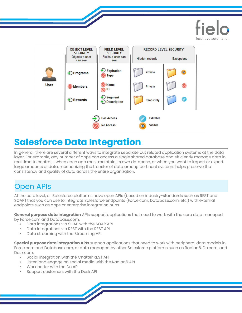



# **Salesforce Data Integration**

In general, there are several different ways to integrate separate but related application systems at the data layer. For example, any number of apps can access a single shared database and efficiently manage data in real time. In contrast, when each app must maintain its own database, or when you want to import or export large amounts of data, mechanizing the transfer of data among pertinent systems helps preserve the consistency and quality of data across the entire organization.

# Open APIs

At the core level, all Salesforce platforms have open APIs (based on industry-standards such as REST and SOAP) that you can use to integrate Salesforce endpoints (Force.com, Database.com, etc.) with external endpoints such as apps or enterprise integration hubs.

**General purpose data integration** APIs support applications that need to work with the core data managed by Force.com and Database.com.

- Data integrations via SOAP with the SOAP API
- Data integrations via REST with the REST API
- Data streaming with the Streaming API

**Special purpose data integration APIs** support applications that need to work with peripheral data models in Force.com and Database.com, or data managed by other Salesforce platforms such as Radian6, Do.com, and Desk.com.

- Social integration with the Chatter REST API
- Listen and engage on social media with the Radian6 API
- Work better with the Do API
- Support customers with the Desk API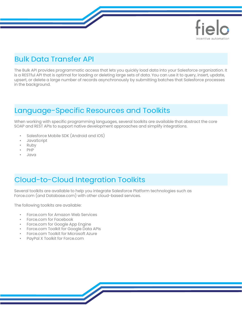

### Bulk Data Transfer API

The Bulk API provides programmatic access that lets you quickly load data into your Salesforce organization. It is a RESTful API that is optimal for loading or deleting large sets of data. You can use it to query, insert, update, upsert, or delete a large number of records asynchronously by submitting batches that Salesforce processes in the background.

### Language-Specific Resources and Toolkits

When working with specific programming languages, several toolkits are available that abstract the core SOAP and REST APIs to support native development approaches and simplify integrations.

- Salesforce Mobile SDK (Android and iOS)
- JavaScript
- Ruby
- PHP
- Java

### Cloud-to-Cloud Integration Toolkits

Several toolkits are available to help you integrate Salesforce Platform technologies such as Force.com (and Database.com) with other cloud-based services.

The following toolkits are available:

- Force.com for Amazon Web Services
- Force.com for Facebook
- Force.com for Google App Engine
- Force.com Toolkit for Google Data APIs
- Force.com Toolkit for Microsoft Azure
- PayPal X Toolkit for Force.com